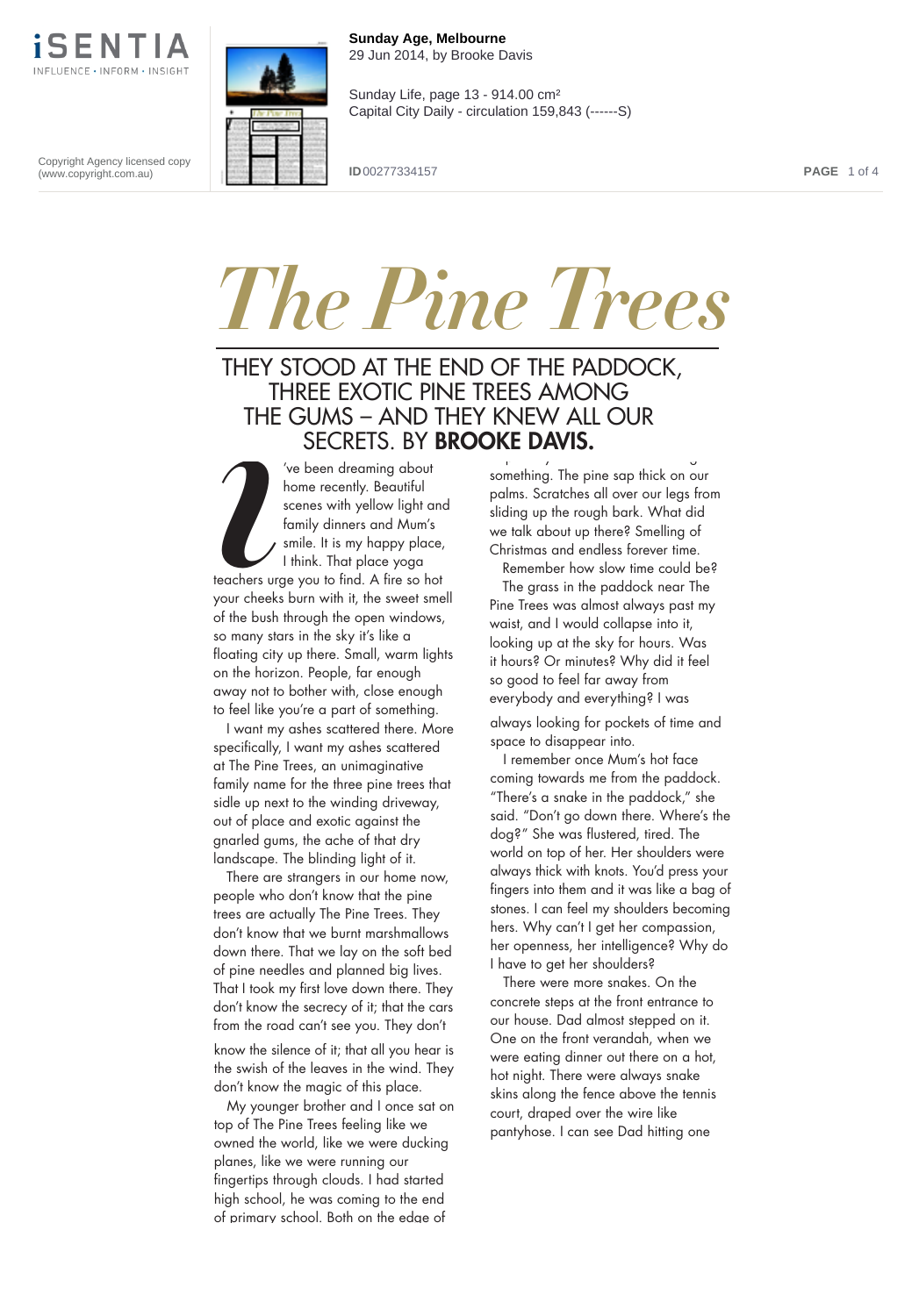

**Sunday Age, Melbourne** 29 Jun 2014, by Brooke Davis

Sunday Life, page 13 - 914.00 cm² Capital City Daily - circulation 159,843 (------S)

Copyright Agency licensed copy (www.copyright.com.au)

**ID** 00277334157 **PAGE** 1 of 4

## *The Pine Trees*

## THEY STOOD AT THE END OF THE PADDOCK, THREE EXOTIC PINE TREES AMONG THE GUMS – AND THEY KNEW ALL OUR SECRETS. BY **BROOKE DAVIS.** py g

*i* 've been dreaming about home recently. Beautiful scenes with yellow light and family dinners and Mum's smile. It is my happy place, I think. That place yoga teachers urge you to find. A fire so hot your cheeks burn with it, the sweet smell of the bush through the open windows, so many stars in the sky it's like a floating city up there. Small, warm lights on the horizon. People, far enough away not to bother with, close enough to feel like you're a part of something.

I want my ashes scattered there. More specifically, I want my ashes scattered at The Pine Trees, an unimaginative family name for the three pine trees that sidle up next to the winding driveway, out of place and exotic against the gnarled gums, the ache of that dry landscape. The blinding light of it.

**s s** down there. That we lay on the soft bed There are strangers in our home now, people who don't know that the pine trees are actually The Pine Trees. They don't know that we burnt marshmallows of pine needles and planned big lives. That I took my first love down there. They don't know the secrecy of it; that the cars from the road can't see you. They don't

know the silence of it; that all you hear is the swish of the leaves in the wind. They don't know the magic of this place.

My younger brother and I once sat on top of The Pine Trees feeling like we owned the world, like we were ducking planes, like we were running our fingertips through clouds. I had started high school, he was coming to the end of primary school. Both on the edge of

something. The pine sap thick on our palms. Scratches all over our legs from sliding up the rough bark. What did we talk about up there? Smelling of Christmas and endless forever time.

Remember how slow time could be? The grass in the paddock near The Pine Trees was almost always past my waist, and I would collapse into it, looking up at the sky for hours. Was it hours? Or minutes? Why did it feel so good to feel far away from everybody and everything? I was

always looking for pockets of time and space to disappear into.

I remember once Mum's hot face coming towards me from the paddock. "There's a snake in the paddock," she said. "Don't go down there. Where's the dog?" She was flustered, tired. The world on top of her. Her shoulders were always thick with knots. You'd press your fingers into them and it was like a bag of stones. I can feel my shoulders becoming hers. Why can't I get her compassion, her openness, her intelligence? Why do I have to get her shoulders?

were eating dinner out there on a hot,<br>hot niaht. There were alwavs snake There were more snakes. On the concrete steps at the front entrance to our house. Dad almost stepped on it. One on the front verandah, when we hot night. There were always snake skins along the fence above the tennis court, draped over the wire like pantyhose. I can see Dad hitting one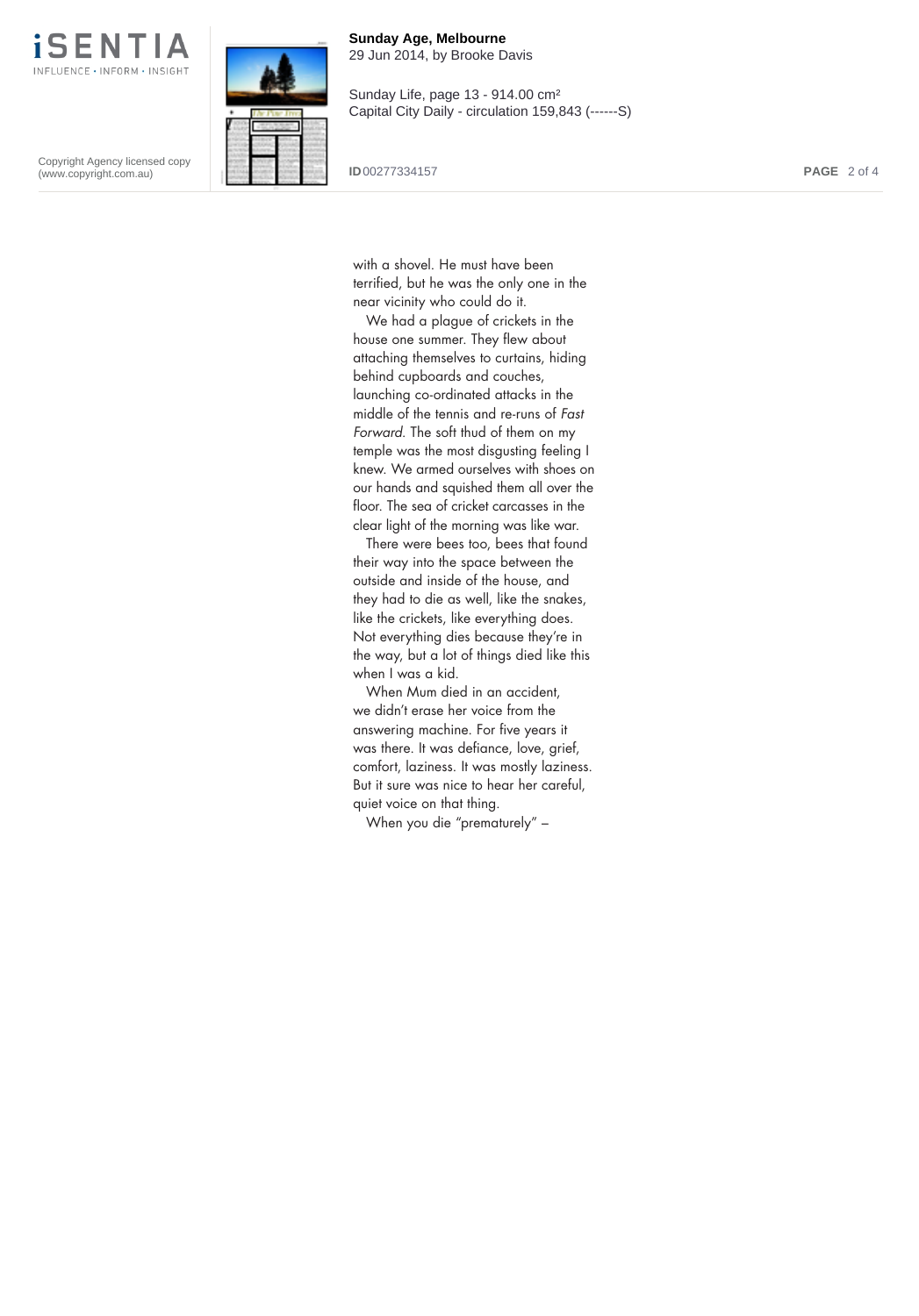

Copyright Agency licensed copy (www.copyright.com.au)



**Sunday Age, Melbourne** 29 Jun 2014, by Brooke Davis

Sunday Life, page 13 - 914.00 cm² Capital City Daily - circulation 159,843 (------S)

**ID** 00277334157 **PAGE** 2 of 4

with a shovel. He must have been terrified, but he was the only one in the near vicinity who could do it.

We had a plague of crickets in the house one summer. They flew about attaching themselves to curtains, hiding behind cupboards and couches, launching co-ordinated attacks in the middle of the tennis and re-runs of Fast Forward. The soft thud of them on my temple was the most disgusting feeling I knew. We armed ourselves with shoes on our hands and squished them all over the floor. The sea of cricket carcasses in the clear light of the morning was like war.

There were bees too, bees that found their way into the space between the outside and inside of the house, and they had to die as well, like the snakes, like the crickets, like everything does. Not everything dies because they're in the way, but a lot of things died like this when I was a kid.

When Mum died in an accident, we didn't erase her voice from the answering machine. For five years it was there. It was defiance, love, grief, comfort, laziness. It was mostly laziness. But it sure was nice to hear her careful, quiet voice on that thing.

When you die "prematurely" –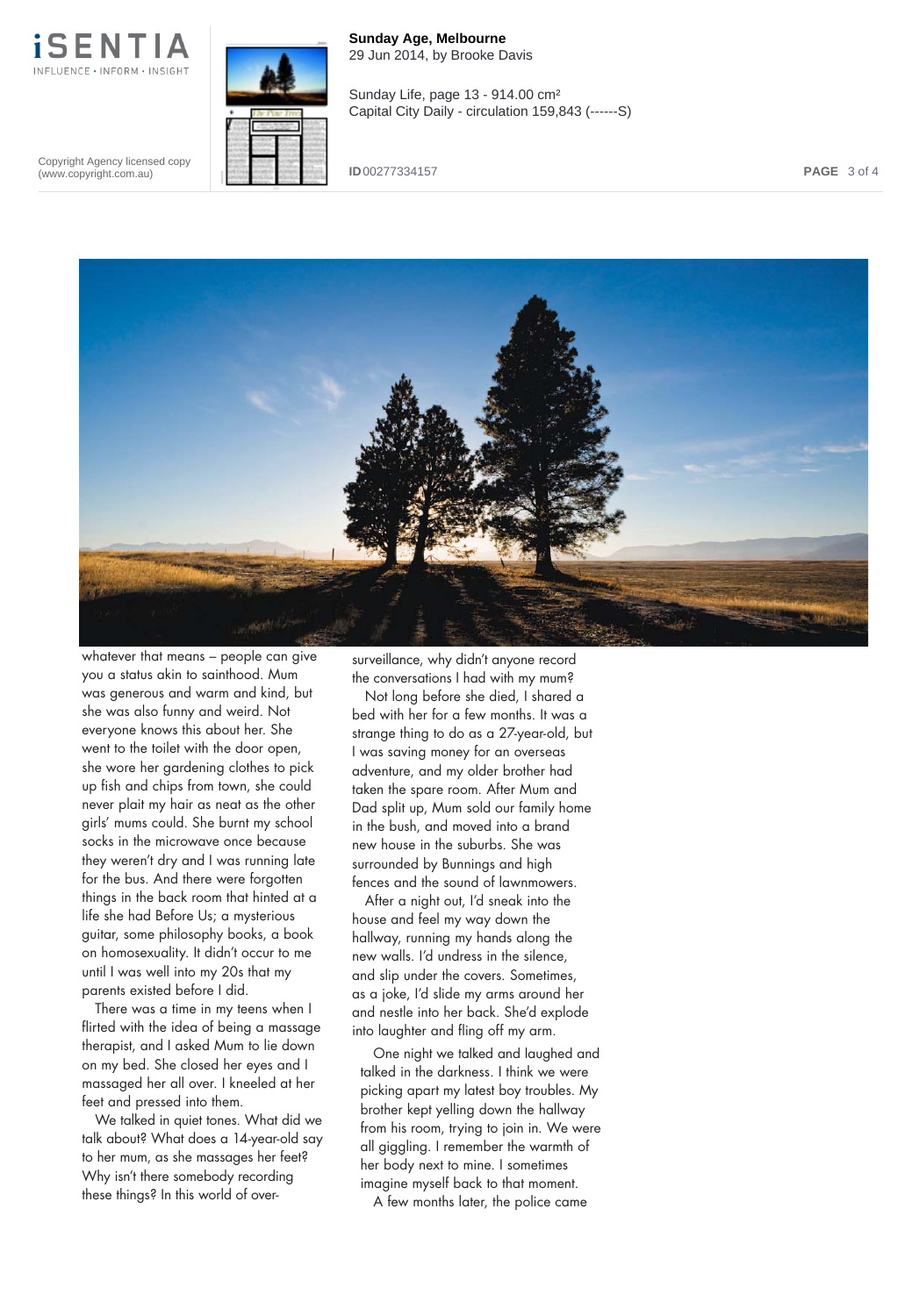

**Sunday Age, Melbourne** 29 Jun 2014, by Brooke Davis Sunday Life, page 13 - 914.00 cm² Capital City Daily - circulation 159,843 (------S)

Copyright Agency licensed copy (www.copyright.com.au)

**ID** 00277334157 **PAGE** 3 of 4



whatever that means – people can give you a status akin to sainthood. Mum was generous and warm and kind, but she was also funny and weird. Not everyone knows this about her. She went to the toilet with the door open, she wore her gardening clothes to pick up fish and chips from town, she could never plait my hair as neat as the other girls' mums could. She burnt my school socks in the microwave once because they weren't dry and I was running late for the bus. And there were forgotten things in the back room that hinted at a life she had Before Us; a mysterious guitar, some philosophy books, a book on homosexuality. It didn't occur to me until I was well into my 20s that my parents existed before I did.

There was a time in my teens when I flirted with the idea of being a massage therapist, and I asked Mum to lie down on my bed. She closed her eyes and I massaged her all over. I kneeled at her feet and pressed into them.

We talked in quiet tones. What did we talk about? What does a 14-year-old say to her mum, as she massages her feet? Why isn't there somebody recording these things? In this world of oversurveillance, why didn't anyone record the conversations I had with my mum?

Not long before she died, I shared a bed with her for a few months. It was a strange thing to do as a 27-year-old, but I was saving money for an overseas adventure, and my older brother had taken the spare room. After Mum and Dad split up, Mum sold our family home in the bush, and moved into a brand new house in the suburbs. She was surrounded by Bunnings and high fences and the sound of lawnmowers.

After a night out, I'd sneak into the house and feel my way down the hallway, running my hands along the new walls. I'd undress in the silence, and slip under the covers. Sometimes, as a joke, I'd slide my arms around her and nestle into her back. She'd explode into laughter and fling off my arm.

One night we talked and laughed and talked in the darkness. I think we were picking apart my latest boy troubles. My brother kept yelling down the hallway from his room, trying to join in. We were all giggling. I remember the warmth of her body next to mine. I sometimes imagine myself back to that moment.

**s** A few months later, the police came